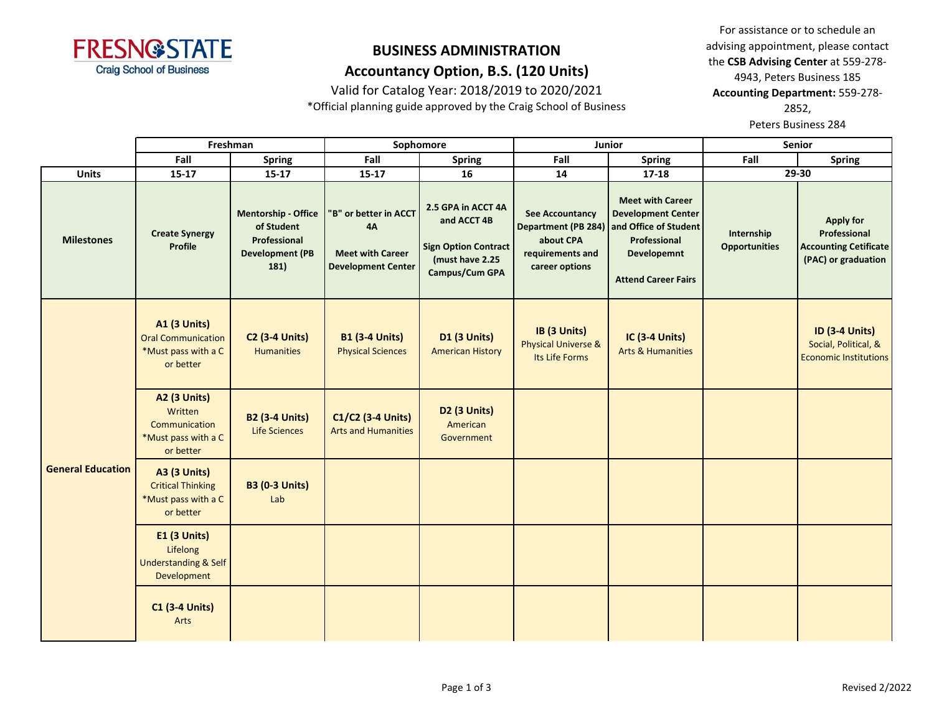

Valid for Catalog Year: 2018/2019 to 2020/2021

\*Official planning guide approved by the Craig School of Business

For assistance or to schedule an advising appointment, please contact the **CSB Advising Center** at 559-278- 4943, Peters Business 185 **Accounting Department:** 559-278- 2852,

Peters Business 284

|                          |                                                                                      | Freshman                                                                                   | Sophomore                                                                                  |                                                                                                       |                                                                           | Junior                                                                                                                                                         | <b>Senior</b>                      |                                                                                         |
|--------------------------|--------------------------------------------------------------------------------------|--------------------------------------------------------------------------------------------|--------------------------------------------------------------------------------------------|-------------------------------------------------------------------------------------------------------|---------------------------------------------------------------------------|----------------------------------------------------------------------------------------------------------------------------------------------------------------|------------------------------------|-----------------------------------------------------------------------------------------|
| Fall<br><b>Spring</b>    |                                                                                      |                                                                                            | Fall<br><b>Spring</b>                                                                      |                                                                                                       | Fall                                                                      | <b>Spring</b>                                                                                                                                                  | Fall                               | <b>Spring</b>                                                                           |
| <b>Units</b>             | $15 - 17$                                                                            | $15 - 17$                                                                                  | $15 - 17$                                                                                  | 16                                                                                                    | 14                                                                        | 17-18                                                                                                                                                          | 29-30                              |                                                                                         |
| <b>Milestones</b>        | <b>Create Synergy</b><br><b>Profile</b>                                              | <b>Mentorship - Office</b><br>of Student<br>Professional<br><b>Development (PB</b><br>181) | 'B" or better in ACCT<br><b>4A</b><br><b>Meet with Career</b><br><b>Development Center</b> | 2.5 GPA in ACCT 4A<br>and ACCT 4B<br><b>Sign Option Contract</b><br>(must have 2.25<br>Campus/Cum GPA | <b>See Accountancy</b><br>about CPA<br>requirements and<br>career options | <b>Meet with Career</b><br><b>Development Center</b><br>Department (PB 284) and Office of Student<br>Professional<br>Developemnt<br><b>Attend Career Fairs</b> | Internship<br><b>Opportunities</b> | <b>Apply for</b><br>Professional<br><b>Accounting Cetificate</b><br>(PAC) or graduation |
| <b>General Education</b> | <b>A1 (3 Units)</b><br><b>Oral Communication</b><br>*Must pass with a C<br>or better | <b>C2 (3-4 Units)</b><br><b>Humanities</b>                                                 | <b>B1 (3-4 Units)</b><br><b>Physical Sciences</b>                                          | D1 (3 Units)<br><b>American History</b>                                                               | IB (3 Units)<br><b>Physical Universe &amp;</b><br>Its Life Forms          | <b>IC (3-4 Units)</b><br><b>Arts &amp; Humanities</b>                                                                                                          |                                    | <b>ID (3-4 Units)</b><br>Social, Political, &<br><b>Economic Institutions</b>           |
|                          | <b>A2 (3 Units)</b><br>Written<br>Communication<br>*Must pass with a C<br>or better  | <b>B2 (3-4 Units)</b><br>Life Sciences                                                     | C1/C2 (3-4 Units)<br><b>Arts and Humanities</b>                                            | D <sub>2</sub> (3 Units)<br>American<br>Government                                                    |                                                                           |                                                                                                                                                                |                                    |                                                                                         |
|                          | <b>A3 (3 Units)</b><br><b>Critical Thinking</b><br>*Must pass with a C<br>or better  | <b>B3 (0-3 Units)</b><br>Lab                                                               |                                                                                            |                                                                                                       |                                                                           |                                                                                                                                                                |                                    |                                                                                         |
|                          | E1 (3 Units)<br>Lifelong<br><b>Understanding &amp; Self</b><br>Development           |                                                                                            |                                                                                            |                                                                                                       |                                                                           |                                                                                                                                                                |                                    |                                                                                         |
|                          | <b>C1 (3-4 Units)</b><br>Arts                                                        |                                                                                            |                                                                                            |                                                                                                       |                                                                           |                                                                                                                                                                |                                    |                                                                                         |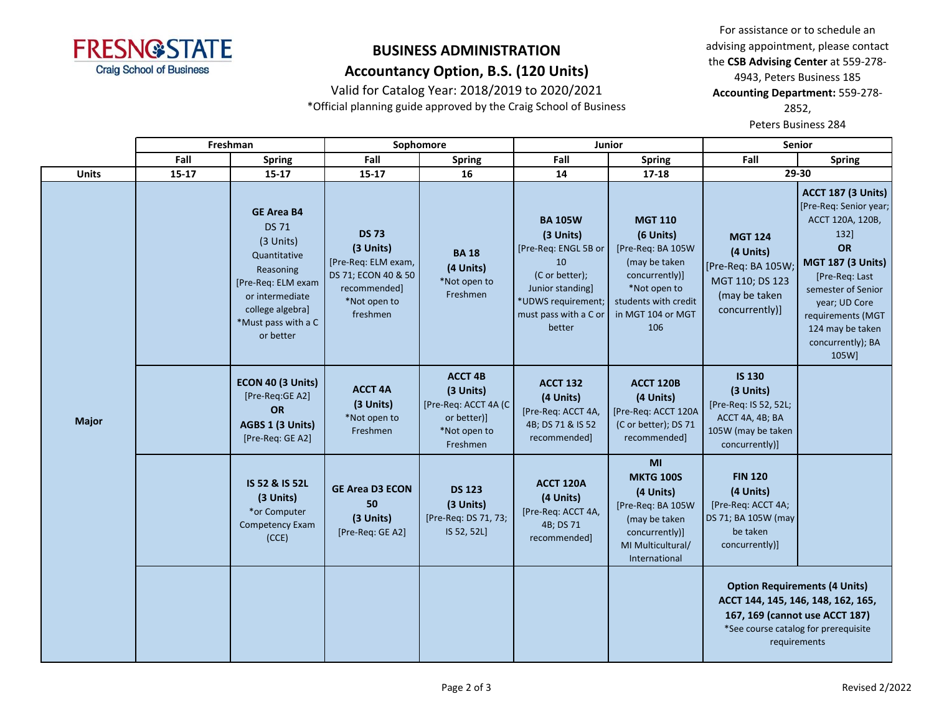

Valid for Catalog Year: 2018/2019 to 2020/2021

\*Official planning guide approved by the Craig School of Business

For assistance or to schedule an advising appointment, please contact the **CSB Advising Center** at 559-278- 4943, Peters Business 185 **Accounting Department:** 559-278- 2852,

Peters Business 284

|              | Freshman  |                                                                                                                                                                              |                                                                                                                     | Sophomore                                                                                      | <b>Junior</b>                                                                                                                                            |                                                                                                                                                         | <b>Senior</b>                                                                                                                                        |                                                                                                                                                                                                                                                   |
|--------------|-----------|------------------------------------------------------------------------------------------------------------------------------------------------------------------------------|---------------------------------------------------------------------------------------------------------------------|------------------------------------------------------------------------------------------------|----------------------------------------------------------------------------------------------------------------------------------------------------------|---------------------------------------------------------------------------------------------------------------------------------------------------------|------------------------------------------------------------------------------------------------------------------------------------------------------|---------------------------------------------------------------------------------------------------------------------------------------------------------------------------------------------------------------------------------------------------|
|              | Fall      | <b>Spring</b>                                                                                                                                                                | Fall                                                                                                                | <b>Spring</b>                                                                                  | Fall                                                                                                                                                     | <b>Spring</b>                                                                                                                                           | Fall                                                                                                                                                 | <b>Spring</b>                                                                                                                                                                                                                                     |
| <b>Units</b> | $15 - 17$ | $15 - 17$                                                                                                                                                                    | $15 - 17$                                                                                                           | 16                                                                                             | 14                                                                                                                                                       | $17 - 18$                                                                                                                                               | 29-30                                                                                                                                                |                                                                                                                                                                                                                                                   |
| <b>Major</b> |           | <b>GE Area B4</b><br><b>DS 71</b><br>(3 Units)<br>Quantitative<br>Reasoning<br>[Pre-Req: ELM exam<br>or intermediate<br>college algebra]<br>*Must pass with a C<br>or better | <b>DS 73</b><br>(3 Units)<br>[Pre-Req: ELM exam,<br>DS 71; ECON 40 & 50<br>recommended]<br>*Not open to<br>freshmen | <b>BA 18</b><br>(4 Units)<br>*Not open to<br>Freshmen                                          | <b>BA 105W</b><br>(3 Units)<br>[Pre-Req: ENGL 5B or<br>10<br>(C or better);<br>Junior standing]<br>*UDWS requirement;<br>must pass with a C or<br>better | <b>MGT 110</b><br>(6 Units)<br>[Pre-Req: BA 105W<br>(may be taken<br>concurrently)]<br>*Not open to<br>students with credit<br>in MGT 104 or MGT<br>106 | <b>MGT 124</b><br>(4 Units)<br>[Pre-Req: BA 105W;<br>MGT 110; DS 123<br>(may be taken<br>concurrently)]                                              | <b>ACCT 187 (3 Units)</b><br>[Pre-Req: Senior year;<br>ACCT 120A, 120B,<br>132]<br>OR<br><b>MGT 187 (3 Units)</b><br>[Pre-Req: Last<br>semester of Senior<br>year; UD Core<br>requirements (MGT<br>124 may be taken<br>concurrently); BA<br>105W] |
|              |           | ECON 40 (3 Units)<br>[Pre-Req:GE A2]<br>OR<br>AGBS 1 (3 Units)<br>[Pre-Req: GE A2]                                                                                           | <b>ACCT 4A</b><br>(3 Units)<br>*Not open to<br>Freshmen                                                             | <b>ACCT 4B</b><br>(3 Units)<br>[Pre-Req: ACCT 4A (C<br>or better)]<br>*Not open to<br>Freshmen | <b>ACCT 132</b><br>(4 Units)<br>[Pre-Req: ACCT 4A,<br>4B; DS 71 & IS 52<br>recommended]                                                                  | <b>ACCT 120B</b><br>(4 Units)<br>[Pre-Req: ACCT 120A<br>(C or better); DS 71<br>recommended]                                                            | <b>IS 130</b><br>(3 Units)<br>[Pre-Req: IS 52, 52L;<br>ACCT 4A, 4B; BA<br>105W (may be taken<br>concurrently)]                                       |                                                                                                                                                                                                                                                   |
|              |           | IS 52 & IS 52L<br>(3 Units)<br>*or Computer<br>Competency Exam<br>(CCE)                                                                                                      | <b>GE Area D3 ECON</b><br>50<br>(3 Units)<br>[Pre-Req: GE A2]                                                       | <b>DS 123</b><br>(3 Units)<br>[Pre-Req: DS 71, 73;<br>IS 52, 52L]                              | <b>ACCT 120A</b><br>(4 Units)<br>[Pre-Req: ACCT 4A,<br>4B; DS 71<br>recommended]                                                                         | MI<br><b>MKTG 100S</b><br>(4 Units)<br>[Pre-Req: BA 105W<br>(may be taken<br>concurrently)]<br>MI Multicultural/<br>International                       | <b>FIN 120</b><br>(4 Units)<br>[Pre-Req: ACCT 4A;<br>DS 71; BA 105W (may<br>be taken<br>concurrently)]                                               |                                                                                                                                                                                                                                                   |
|              |           |                                                                                                                                                                              |                                                                                                                     |                                                                                                |                                                                                                                                                          |                                                                                                                                                         | <b>Option Requirements (4 Units)</b><br>ACCT 144, 145, 146, 148, 162, 165,<br>167, 169 (cannot use ACCT 187)<br>*See course catalog for prerequisite | requirements                                                                                                                                                                                                                                      |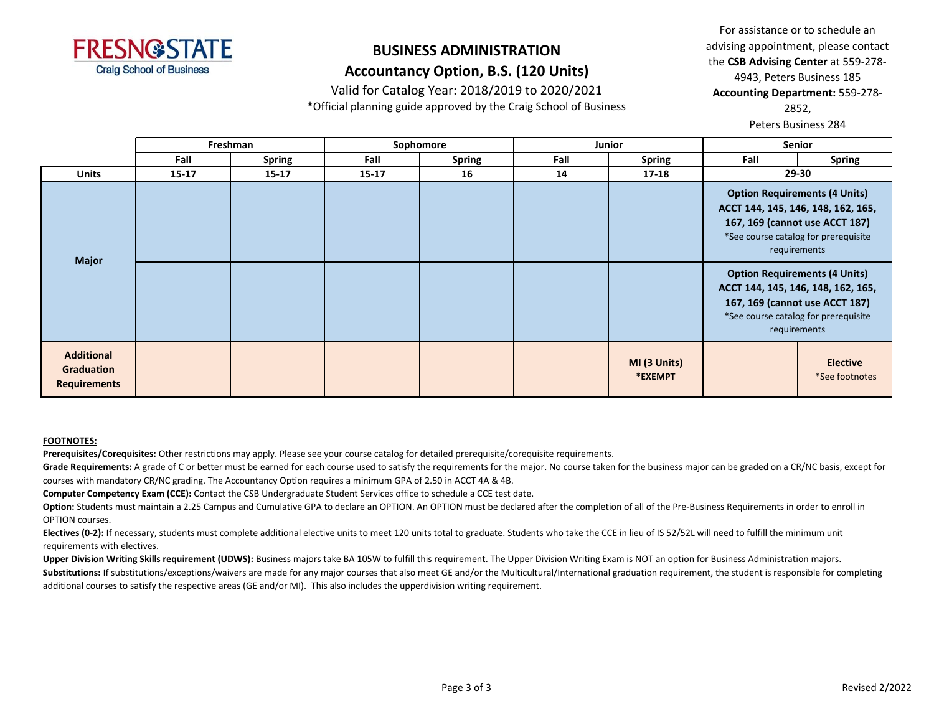

Valid for Catalog Year: 2018/2019 to 2020/2021

\*Official planning guide approved by the Craig School of Business

For assistance or to schedule an advising appointment, please contact the **CSB Advising Center** at 559-278- 4943, Peters Business 185 **Accounting Department:** 559-278- 2852, Peters Business 284

**Fall Spring Fall Spring Fall Spring Fall Spring Units 15-17 15-17 15-17 16 14 17-18 29-30 Freshman Sophomore Junior Senior Additional Graduation Requirements MI (3 Units) \*EXEMPT Elective** \*See footnotes **Option Requirements (4 Units) ACCT 144, 145, 146, 148, 162, 165, 167, 169 (cannot use ACCT 187)** \*See course catalog for prerequisite requirements **Major Option Requirements (4 Units) ACCT 144, 145, 146, 148, 162, 165, 167, 169 (cannot use ACCT 187)** \*See course catalog for prerequisite requirements

#### **FOOTNOTES:**

**Prerequisites/Corequisites:** Other restrictions may apply. Please see your course catalog for detailed prerequisite/corequisite requirements.

Grade Requirements: A grade of C or better must be earned for each course used to satisfy the requirements for the major. No course taken for the business major can be graded on a CR/NC basis, except for courses with mandatory CR/NC grading. The Accountancy Option requires a minimum GPA of 2.50 in ACCT 4A & 4B.

**Computer Competency Exam (CCE):** Contact the CSB Undergraduate Student Services office to schedule a CCE test date.

Option: Students must maintain a 2.25 Campus and Cumulative GPA to declare an OPTION. An OPTION must be declared after the completion of all of the Pre-Business Requirements in order to enroll in OPTION courses.

Electives (0-2): If necessary, students must complete additional elective units to meet 120 units total to graduate. Students who take the CCE in lieu of IS 52/52L will need to fulfill the minimum unit requirements with electives.

**Upper Division Writing Skills requirement (UDWS):** Business majors take BA 105W to fulfill this requirement. The Upper Division Writing Exam is NOT an option for Business Administration majors.

Substitutions: If substitutions/exceptions/waivers are made for any major courses that also meet GE and/or the Multicultural/International graduation requirement, the student is responsible for completing additional courses to satisfy the respective areas (GE and/or MI). This also includes the upperdivision writing requirement.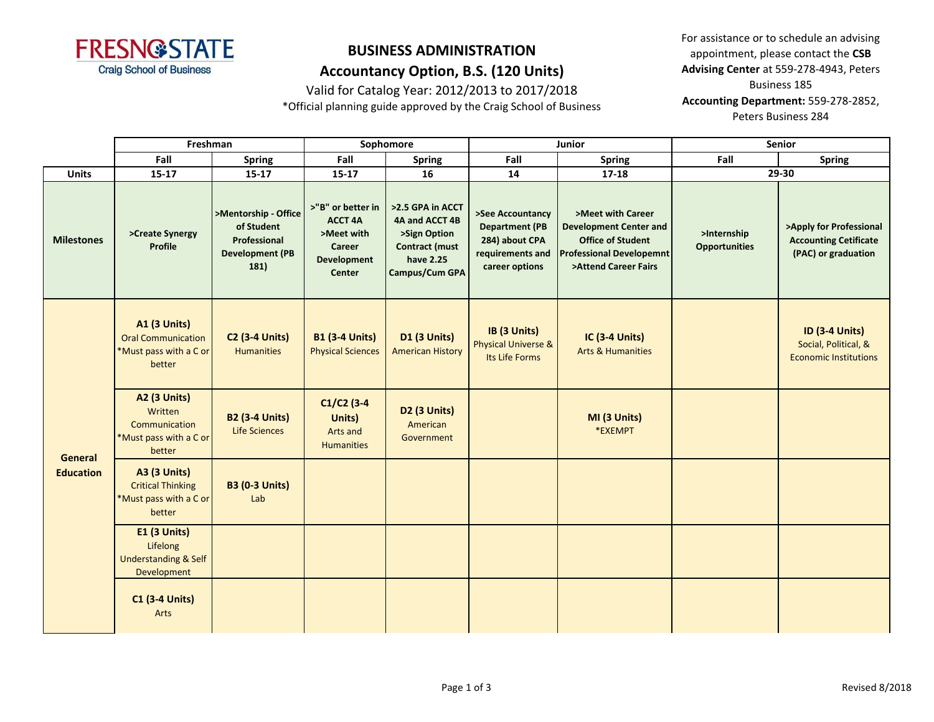

Valid for Catalog Year: 2012/2013 to 2017/2018

\*Official planning guide approved by the Craig School of Business

For assistance or to schedule an advising appointment, please contact the **CSB Advising Center** at 559-278-4943, Peters Business 185 **Accounting Department:** 559-278-2852, Peters Business 284

|                                    | Freshman                                                                             |                                                                                      | Sophomore                                                                                   |                                                                                                            |                                                                                                   | Junior                                                                                                                                    | Senior                              |                                                                                |  |
|------------------------------------|--------------------------------------------------------------------------------------|--------------------------------------------------------------------------------------|---------------------------------------------------------------------------------------------|------------------------------------------------------------------------------------------------------------|---------------------------------------------------------------------------------------------------|-------------------------------------------------------------------------------------------------------------------------------------------|-------------------------------------|--------------------------------------------------------------------------------|--|
|                                    | Fall                                                                                 | Spring                                                                               | Fall                                                                                        | <b>Spring</b>                                                                                              | Fall                                                                                              | <b>Spring</b>                                                                                                                             | Fall                                | <b>Spring</b>                                                                  |  |
| <b>Units</b>                       | $15 - 17$                                                                            | $15 - 17$                                                                            | $15 - 17$                                                                                   | 16                                                                                                         | 14                                                                                                | $17 - 18$                                                                                                                                 |                                     | 29-30                                                                          |  |
| <b>Milestones</b>                  | >Create Synergy<br><b>Profile</b>                                                    | >Mentorship - Office<br>of Student<br>Professional<br><b>Development (PB</b><br>181) | >"B" or better in<br><b>ACCT 4A</b><br>>Meet with<br>Career<br><b>Development</b><br>Center | >2.5 GPA in ACCT<br>4A and ACCT 4B<br>>Sign Option<br><b>Contract (must</b><br>have 2.25<br>Campus/Cum GPA | >See Accountancy<br><b>Department (PB</b><br>284) about CPA<br>requirements and<br>career options | >Meet with Career<br><b>Development Center and</b><br><b>Office of Student</b><br><b>Professional Developemnt</b><br>>Attend Career Fairs | >Internship<br><b>Opportunities</b> | >Apply for Professional<br><b>Accounting Cetificate</b><br>(PAC) or graduation |  |
| <b>General</b><br><b>Education</b> | <b>A1 (3 Units)</b><br><b>Oral Communication</b><br>*Must pass with a C or<br>better | <b>C2 (3-4 Units)</b><br><b>Humanities</b>                                           | <b>B1 (3-4 Units)</b><br><b>Physical Sciences</b>                                           | <b>D1 (3 Units)</b><br><b>American History</b>                                                             | IB (3 Units)<br><b>Physical Universe &amp;</b><br>Its Life Forms                                  | IC (3-4 Units)<br><b>Arts &amp; Humanities</b>                                                                                            |                                     | <b>ID (3-4 Units)</b><br>Social, Political, &<br><b>Economic Institutions</b>  |  |
|                                    | <b>A2 (3 Units)</b><br>Written<br>Communication<br>*Must pass with a C or<br>better  | <b>B2 (3-4 Units)</b><br><b>Life Sciences</b>                                        | $C1/C2$ (3-4<br>Units)<br>Arts and<br><b>Humanities</b>                                     | <b>D2 (3 Units)</b><br>American<br>Government                                                              |                                                                                                   | MI (3 Units)<br>*EXEMPT                                                                                                                   |                                     |                                                                                |  |
|                                    | <b>A3 (3 Units)</b><br><b>Critical Thinking</b><br>*Must pass with a C or<br>better  | <b>B3 (0-3 Units)</b><br>Lab                                                         |                                                                                             |                                                                                                            |                                                                                                   |                                                                                                                                           |                                     |                                                                                |  |
|                                    | <b>E1 (3 Units)</b><br>Lifelong<br><b>Understanding &amp; Self</b><br>Development    |                                                                                      |                                                                                             |                                                                                                            |                                                                                                   |                                                                                                                                           |                                     |                                                                                |  |
|                                    | <b>C1 (3-4 Units)</b><br>Arts                                                        |                                                                                      |                                                                                             |                                                                                                            |                                                                                                   |                                                                                                                                           |                                     |                                                                                |  |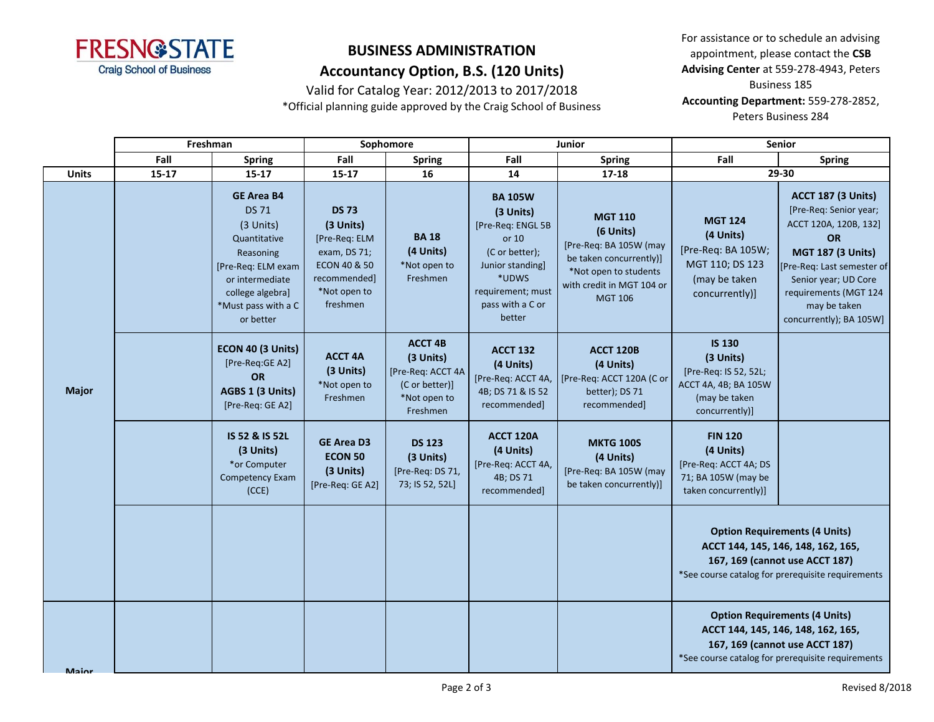

Valid for Catalog Year: 2012/2013 to 2017/2018

\*Official planning guide approved by the Craig School of Business

For assistance or to schedule an advising appointment, please contact the **CSB Advising Center** at 559-278-4943, Peters Business 185 **Accounting Department:** 559-278-2852, Peters Business 284

|              | Freshman  |                                                                                                                                                                             | Sophomore                                                                                                              |                                                                                                |                                                                                                                                                             | Junior                                                                                                                                                   | <b>Senior</b>                                                                                                                                                     |                                                                                                                                                                                                                                                 |
|--------------|-----------|-----------------------------------------------------------------------------------------------------------------------------------------------------------------------------|------------------------------------------------------------------------------------------------------------------------|------------------------------------------------------------------------------------------------|-------------------------------------------------------------------------------------------------------------------------------------------------------------|----------------------------------------------------------------------------------------------------------------------------------------------------------|-------------------------------------------------------------------------------------------------------------------------------------------------------------------|-------------------------------------------------------------------------------------------------------------------------------------------------------------------------------------------------------------------------------------------------|
|              | Fall      | <b>Spring</b>                                                                                                                                                               | Fall                                                                                                                   | <b>Spring</b>                                                                                  | Fall                                                                                                                                                        | <b>Spring</b>                                                                                                                                            | Fall                                                                                                                                                              | <b>Spring</b>                                                                                                                                                                                                                                   |
| <b>Units</b> | $15 - 17$ | 15-17                                                                                                                                                                       | $15 - 17$                                                                                                              | 16                                                                                             | 14                                                                                                                                                          | $17 - 18$                                                                                                                                                |                                                                                                                                                                   | 29-30                                                                                                                                                                                                                                           |
|              |           | <b>GE Area B4</b><br><b>DS71</b><br>(3 Units)<br>Quantitative<br>Reasoning<br>[Pre-Req: ELM exam<br>or intermediate<br>college algebra]<br>*Must pass with a C<br>or better | <b>DS 73</b><br>(3 Units)<br>[Pre-Req: ELM<br>exam, DS 71;<br>ECON 40 & 50<br>recommended]<br>*Not open to<br>freshmen | <b>BA18</b><br>(4 Units)<br>*Not open to<br>Freshmen                                           | <b>BA 105W</b><br>(3 Units)<br>[Pre-Req: ENGL 5B<br>or 10<br>(C or better);<br>Junior standing]<br>*UDWS<br>requirement; must<br>pass with a C or<br>better | <b>MGT 110</b><br>(6 Units)<br>[Pre-Req: BA 105W (may<br>be taken concurrently)]<br>*Not open to students<br>with credit in MGT 104 or<br><b>MGT 106</b> | <b>MGT 124</b><br>(4 Units)<br>[Pre-Req: BA 105W;<br>MGT 110; DS 123<br>(may be taken<br>concurrently)]                                                           | <b>ACCT 187 (3 Units)</b><br>[Pre-Req: Senior year;<br>ACCT 120A, 120B, 132]<br><b>OR</b><br><b>MGT 187 (3 Units)</b><br>[Pre-Req: Last semester of<br>Senior year; UD Core<br>requirements (MGT 124<br>may be taken<br>concurrently); BA 105W] |
| <b>Major</b> |           | ECON 40 (3 Units)<br>[Pre-Req:GE A2]<br>OR<br>AGBS 1 (3 Units)<br>[Pre-Req: GE A2]                                                                                          | <b>ACCT 4A</b><br>(3 Units)<br>*Not open to<br>Freshmen                                                                | <b>ACCT 4B</b><br>(3 Units)<br>[Pre-Req: ACCT 4A<br>(C or better)]<br>*Not open to<br>Freshmen | <b>ACCT 132</b><br>(4 Units)<br>[Pre-Req: ACCT 4A,<br>4B; DS 71 & IS 52<br>recommended]                                                                     | ACCT 120B<br>(4 Units)<br>[Pre-Req: ACCT 120A (C or<br>better); DS 71<br>recommended]                                                                    | <b>IS 130</b><br>(3 Units)<br>[Pre-Req: IS 52, 52L;<br>ACCT 4A, 4B; BA 105W<br>(may be taken<br>concurrently)]                                                    |                                                                                                                                                                                                                                                 |
|              |           | IS 52 & IS 52L<br>(3 Units)<br>*or Computer<br>Competency Exam<br>(CCE)                                                                                                     | <b>GE Area D3</b><br><b>ECON 50</b><br>(3 Units)<br>[Pre-Req: GE A2]                                                   | <b>DS 123</b><br>(3 Units)<br>[Pre-Req: DS 71,<br>73; IS 52, 52L]                              | <b>ACCT 120A</b><br>(4 Units)<br>[Pre-Req: ACCT 4A,<br>4B; DS 71<br>recommended]                                                                            | <b>MKTG 100S</b><br>(4 Units)<br>[Pre-Req: BA 105W (may<br>be taken concurrently)]                                                                       | <b>FIN 120</b><br>(4 Units)<br>[Pre-Req: ACCT 4A; DS<br>71; BA 105W (may be<br>taken concurrently)]                                                               |                                                                                                                                                                                                                                                 |
|              |           |                                                                                                                                                                             |                                                                                                                        |                                                                                                |                                                                                                                                                             |                                                                                                                                                          |                                                                                                                                                                   | <b>Option Requirements (4 Units)</b><br>ACCT 144, 145, 146, 148, 162, 165,<br>167, 169 (cannot use ACCT 187)<br>*See course catalog for prerequisite requirements                                                                               |
| Maior        |           |                                                                                                                                                                             |                                                                                                                        |                                                                                                |                                                                                                                                                             |                                                                                                                                                          | <b>Option Requirements (4 Units)</b><br>ACCT 144, 145, 146, 148, 162, 165,<br>167, 169 (cannot use ACCT 187)<br>*See course catalog for prerequisite requirements |                                                                                                                                                                                                                                                 |